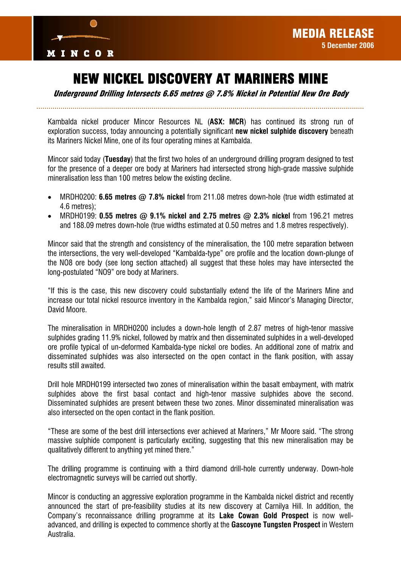

## NEW NICKEL DISCOVERY AT MARINERS MINE

Underground Drilling Intersects 6.65 metres @ 7.8% Nickel in Potential New Ore Body

Kambalda nickel producer Mincor Resources NL (**ASX: MCR**) has continued its strong run of exploration success, today announcing a potentially significant **new nickel sulphide discovery** beneath its Mariners Nickel Mine, one of its four operating mines at Kambalda.

Mincor said today (**Tuesday**) that the first two holes of an underground drilling program designed to test for the presence of a deeper ore body at Mariners had intersected strong high-grade massive sulphide mineralisation less than 100 metres below the existing decline.

- MRDH0200: **6.65 metres @ 7.8% nickel** from 211.08 metres down-hole (true width estimated at 4.6 metres);
- MRDH0199: **0.55 metres @ 9.1% nickel and 2.75 metres @ 2.3% nickel** from 196.21 metres and 188.09 metres down-hole (true widths estimated at 0.50 metres and 1.8 metres respectively).

Mincor said that the strength and consistency of the mineralisation, the 100 metre separation between the intersections, the very well-developed "Kambalda-type" ore profile and the location down-plunge of the NO8 ore body (see long section attached) all suggest that these holes may have intersected the long-postulated "NO9" ore body at Mariners.

"If this is the case, this new discovery could substantially extend the life of the Mariners Mine and increase our total nickel resource inventory in the Kambalda region," said Mincor's Managing Director, David Moore.

The mineralisation in MRDH0200 includes a down-hole length of 2.87 metres of high-tenor massive sulphides grading 11.9% nickel, followed by matrix and then disseminated sulphides in a well-developed ore profile typical of un-deformed Kambalda-type nickel ore bodies. An additional zone of matrix and disseminated sulphides was also intersected on the open contact in the flank position, with assay results still awaited.

Drill hole MRDH0199 intersected two zones of mineralisation within the basalt embayment, with matrix sulphides above the first basal contact and high-tenor massive sulphides above the second. Disseminated sulphides are present between these two zones. Minor disseminated mineralisation was also intersected on the open contact in the flank position.

"These are some of the best drill intersections ever achieved at Mariners," Mr Moore said. "The strong massive sulphide component is particularly exciting, suggesting that this new mineralisation may be qualitatively different to anything yet mined there."

The drilling programme is continuing with a third diamond drill-hole currently underway. Down-hole electromagnetic surveys will be carried out shortly.

Mincor is conducting an aggressive exploration programme in the Kambalda nickel district and recently announced the start of pre-feasibility studies at its new discovery at Carnilya Hill. In addition, the Company's reconnaissance drilling programme at its **Lake Cowan Gold Prospect** is now welladvanced, and drilling is expected to commence shortly at the **Gascoyne Tungsten Prospect** in Western Australia.